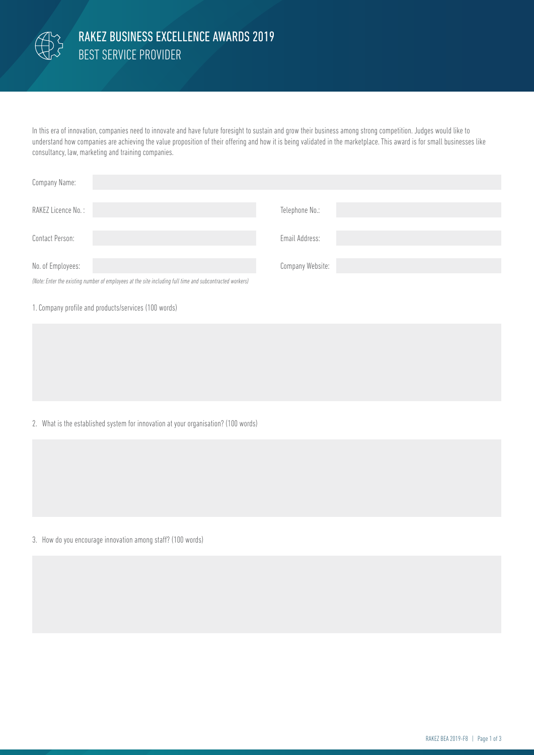

## BEST SERVICE PROVIDER RAKEZ BUSINESS EXCELLENCE AWARDS 2019

In this era of innovation, companies need to innovate and have future foresight to sustain and grow their business among strong competition. Judges would like to understand how companies are achieving the value proposition of their offering and how it is being validated in the marketplace. This award is for small businesses like consultancy, law, marketing and training companies.

| Company Name:                                                                                            |                  |
|----------------------------------------------------------------------------------------------------------|------------------|
| RAKEZ Licence No.:                                                                                       | Telephone No.:   |
| Contact Person:                                                                                          | Email Address:   |
| No. of Employees:                                                                                        | Company Website: |
| (Note: Enter the existing number of employees at the site including full time and subcontracted workers) |                  |

## 1. Company profile and products/services (100 words)

2. What is the established system for innovation at your organisation? (100 words)

3. How do you encourage innovation among staff? (100 words)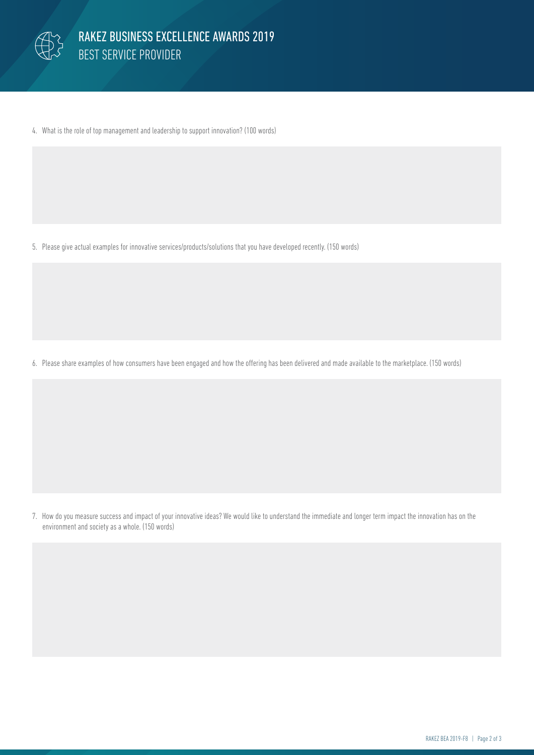

4. What is the role of top management and leadership to support innovation? (100 words)

5. Please give actual examples for innovative services/products/solutions that you have developed recently. (150 words)

6. Please share examples of how consumers have been engaged and how the offering has been delivered and made available to the marketplace. (150 words)

7. How do you measure success and impact of your innovative ideas? We would like to understand the immediate and longer term impact the innovation has on the environment and society as a whole. (150 words)